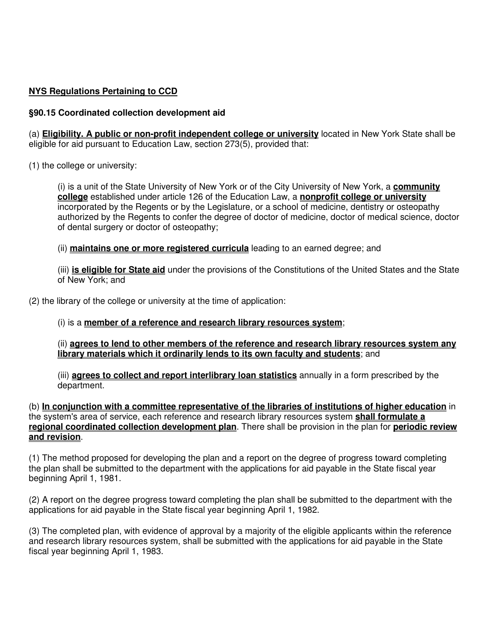## **NYS Regulations Pertaining to CCD**

## **§90.15 Coordinated collection development aid**

(a) **Eligibility. A public or non-profit independent college or university** located in New York State shall be eligible for aid pursuant to Education Law, section 273(5), provided that:

(1) the college or university:

(i) is a unit of the State University of New York or of the City University of New York, a **community college** established under article 126 of the Education Law, a **nonprofit college or university** incorporated by the Regents or by the Legislature, or a school of medicine, dentistry or osteopathy authorized by the Regents to confer the degree of doctor of medicine, doctor of medical science, doctor of dental surgery or doctor of osteopathy;

(ii) **maintains one or more registered curricula** leading to an earned degree; and

(iii) **is eligible for State aid** under the provisions of the Constitutions of the United States and the State of New York; and

(2) the library of the college or university at the time of application:

## (i) is a **member of a reference and research library resources system**;

(ii) **agrees to lend to other members of the reference and research library resources system any library materials which it ordinarily lends to its own faculty and students**; and

(iii) **agrees to collect and report interlibrary loan statistics** annually in a form prescribed by the department.

(b) **In conjunction with a committee representative of the libraries of institutions of higher education** in the system's area of service, each reference and research library resources system **shall formulate a regional coordinated collection development plan**. There shall be provision in the plan for **periodic review and revision**.

(1) The method proposed for developing the plan and a report on the degree of progress toward completing the plan shall be submitted to the department with the applications for aid payable in the State fiscal year beginning April 1, 1981.

(2) A report on the degree progress toward completing the plan shall be submitted to the department with the applications for aid payable in the State fiscal year beginning April 1, 1982.

(3) The completed plan, with evidence of approval by a majority of the eligible applicants within the reference and research library resources system, shall be submitted with the applications for aid payable in the State fiscal year beginning April 1, 1983.